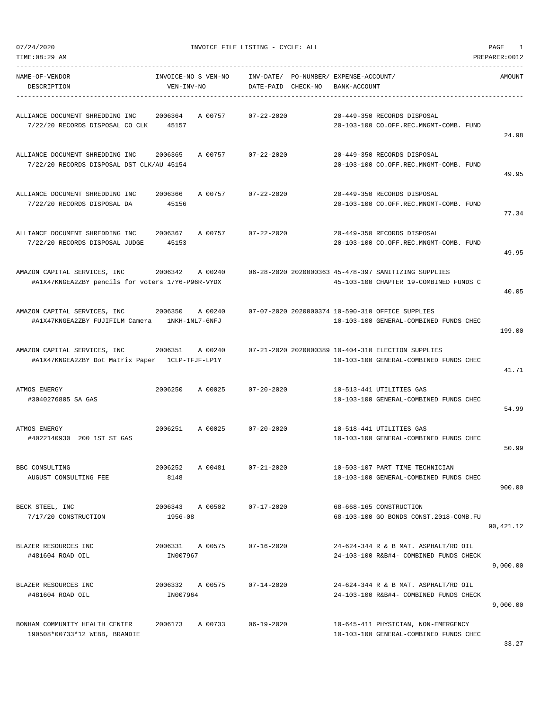|  | 07/24/2020 |  |
|--|------------|--|

07/24/2020 INVOICE FILE LISTING - CYCLE: ALL PAGE 1

| NAME-OF-VENDOR<br>DESCRIPTION                                                                      | INVOICE-NO S VEN-NO<br>VEN-INV-NO |         | INV-DATE/ PO-NUMBER/ EXPENSE-ACCOUNT/<br>DATE-PAID CHECK-NO | BANK-ACCOUNT |                                                                                                | AMOUNT     |
|----------------------------------------------------------------------------------------------------|-----------------------------------|---------|-------------------------------------------------------------|--------------|------------------------------------------------------------------------------------------------|------------|
| ALLIANCE DOCUMENT SHREDDING INC 2006364 A 00757<br>7/22/20 RECORDS DISPOSAL CO CLK 45157           |                                   |         | 07-22-2020                                                  |              | 20-449-350 RECORDS DISPOSAL<br>20-103-100 CO.OFF.REC.MNGMT-COMB. FUND                          | 24.98      |
| ALLIANCE DOCUMENT SHREDDING INC 2006365<br>7/22/20 RECORDS DISPOSAL DST CLK/AU 45154               |                                   |         | A 00757 07-22-2020                                          |              | 20-449-350 RECORDS DISPOSAL<br>20-103-100 CO.OFF.REC.MNGMT-COMB. FUND                          | 49.95      |
| ALLIANCE DOCUMENT SHREDDING INC<br>7/22/20 RECORDS DISPOSAL DA                                     | 2006366 A 00757<br>45156          |         | $07 - 22 - 2020$                                            |              | 20-449-350 RECORDS DISPOSAL<br>20-103-100 CO.OFF.REC.MNGMT-COMB. FUND                          | 77.34      |
| ALLIANCE DOCUMENT SHREDDING INC 2006367<br>7/22/20 RECORDS DISPOSAL JUDGE                          | 45153                             | A 00757 | 07-22-2020                                                  |              | 20-449-350 RECORDS DISPOSAL<br>20-103-100 CO.OFF.REC.MNGMT-COMB. FUND                          | 49.95      |
| AMAZON CAPITAL SERVICES, INC 2006342 A 00240<br>#A1X47KNGEA2ZBY pencils for voters 17Y6-P96R-VYDX  |                                   |         |                                                             |              | 06-28-2020 2020000363 45-478-397 SANITIZING SUPPLIES<br>45-103-100 CHAPTER 19-COMBINED FUNDS C | 40.05      |
| AMAZON CAPITAL SERVICES, INC 2006350<br>#A1X47KNGEA2ZBY FUJIFILM Camera 1NKH-1NL7-6NFJ             |                                   | A 00240 |                                                             |              | 07-07-2020 2020000374 10-590-310 OFFICE SUPPLIES<br>10-103-100 GENERAL-COMBINED FUNDS CHEC     | 199.00     |
| AMAZON CAPITAL SERVICES, INC 2006351 A 00240<br>#A1X47KNGEA2ZBY Dot Matrix Paper    1CLP-TFJF-LP1Y |                                   |         |                                                             |              | 07-21-2020 2020000389 10-404-310 ELECTION SUPPLIES<br>10-103-100 GENERAL-COMBINED FUNDS CHEC   | 41.71      |
| ATMOS ENERGY<br>#3040276805 SA GAS                                                                 |                                   |         | 2006250 A 00025 07-20-2020                                  |              | 10-513-441 UTILITIES GAS<br>10-103-100 GENERAL-COMBINED FUNDS CHEC                             | 54.99      |
| ATMOS ENERGY<br>#4022140930 200 1ST ST GAS                                                         | 2006251                           | A 00025 | $07 - 20 - 2020$                                            |              | 10-518-441 UTILITIES GAS<br>10-103-100 GENERAL-COMBINED FUNDS CHEC                             | 50.99      |
| BBC CONSULTING<br>AUGUST CONSULTING FEE                                                            | 2006252<br>8148                   | A 00481 | $07 - 21 - 2020$                                            |              | 10-503-107 PART TIME TECHNICIAN<br>10-103-100 GENERAL-COMBINED FUNDS CHEC                      | 900.00     |
| BECK STEEL, INC<br>7/17/20 CONSTRUCTION                                                            | 2006343 A 00502<br>$1956 - 08$    |         | $07 - 17 - 2020$                                            |              | 68-668-165 CONSTRUCTION<br>68-103-100 GO BONDS CONST. 2018-COMB.FU                             | 90, 421.12 |
| BLAZER RESOURCES INC<br>#481604 ROAD OIL                                                           | 2006331<br>IN007967               | A 00575 | $07 - 16 - 2020$                                            |              | 24-624-344 R & B MAT. ASPHALT/RD OIL<br>24-103-100 R&B#4- COMBINED FUNDS CHECK                 | 9,000.00   |
| BLAZER RESOURCES INC<br>#481604 ROAD OIL                                                           | 2006332<br>IN007964               | A 00575 | $07 - 14 - 2020$                                            |              | 24-624-344 R & B MAT. ASPHALT/RD OIL<br>24-103-100 R&B#4- COMBINED FUNDS CHECK                 | 9,000.00   |
| BONHAM COMMUNITY HEALTH CENTER<br>190508*00733*12 WEBB, BRANDIE                                    | 2006173                           | A 00733 | $06 - 19 - 2020$                                            |              | 10-645-411 PHYSICIAN, NON-EMERGENCY<br>10-103-100 GENERAL-COMBINED FUNDS CHEC                  |            |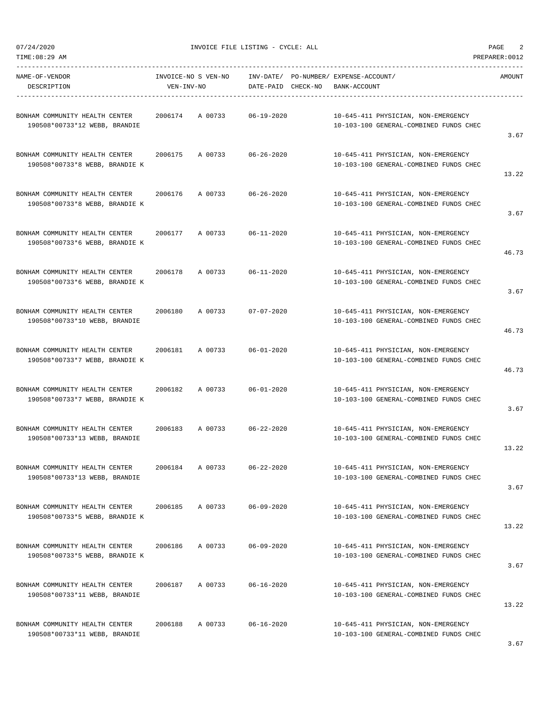07/24/2020 INVOICE FILE LISTING - CYCLE: ALL PAGE 2

-----------------------------------------------------------------------------------------------------------------------------------

| NAME-OF-VENDOR<br>DESCRIPTION                                    | INVOICE-NO S VEN-NO<br>VEN-INV-NO | INV-DATE/ PO-NUMBER/ EXPENSE-ACCOUNT/<br>DATE-PAID CHECK-NO | BANK-ACCOUNT                                                                  | AMOUNT |
|------------------------------------------------------------------|-----------------------------------|-------------------------------------------------------------|-------------------------------------------------------------------------------|--------|
| BONHAM COMMUNITY HEALTH CENTER<br>190508*00733*12 WEBB, BRANDIE  | A 00733<br>2006174                | 06-19-2020                                                  | 10-645-411 PHYSICIAN, NON-EMERGENCY<br>10-103-100 GENERAL-COMBINED FUNDS CHEC | 3.67   |
| BONHAM COMMUNITY HEALTH CENTER<br>190508*00733*8 WEBB, BRANDIE K | 2006175<br>A 00733                | $06 - 26 - 2020$                                            | 10-645-411 PHYSICIAN, NON-EMERGENCY<br>10-103-100 GENERAL-COMBINED FUNDS CHEC | 13.22  |
| BONHAM COMMUNITY HEALTH CENTER<br>190508*00733*8 WEBB, BRANDIE K | A 00733<br>2006176                | $06 - 26 - 2020$                                            | 10-645-411 PHYSICIAN, NON-EMERGENCY<br>10-103-100 GENERAL-COMBINED FUNDS CHEC | 3.67   |
| BONHAM COMMUNITY HEALTH CENTER<br>190508*00733*6 WEBB, BRANDIE K | 2006177<br>A 00733                | $06 - 11 - 2020$                                            | 10-645-411 PHYSICIAN, NON-EMERGENCY<br>10-103-100 GENERAL-COMBINED FUNDS CHEC | 46.73  |
| BONHAM COMMUNITY HEALTH CENTER<br>190508*00733*6 WEBB, BRANDIE K | A 00733<br>2006178                | $06 - 11 - 2020$                                            | 10-645-411 PHYSICIAN, NON-EMERGENCY<br>10-103-100 GENERAL-COMBINED FUNDS CHEC | 3.67   |
| BONHAM COMMUNITY HEALTH CENTER<br>190508*00733*10 WEBB, BRANDIE  | 2006180<br>A 00733                | $07 - 07 - 2020$                                            | 10-645-411 PHYSICIAN, NON-EMERGENCY<br>10-103-100 GENERAL-COMBINED FUNDS CHEC | 46.73  |
| BONHAM COMMUNITY HEALTH CENTER<br>190508*00733*7 WEBB, BRANDIE K | 2006181<br>A 00733                | $06 - 01 - 2020$                                            | 10-645-411 PHYSICIAN, NON-EMERGENCY<br>10-103-100 GENERAL-COMBINED FUNDS CHEC | 46.73  |
| BONHAM COMMUNITY HEALTH CENTER<br>190508*00733*7 WEBB, BRANDIE K | 2006182<br>A 00733                | $06 - 01 - 2020$                                            | 10-645-411 PHYSICIAN, NON-EMERGENCY<br>10-103-100 GENERAL-COMBINED FUNDS CHEC | 3.67   |
| BONHAM COMMUNITY HEALTH CENTER<br>190508*00733*13 WEBB, BRANDIE  | A 00733<br>2006183                | 06-22-2020                                                  | 10-645-411 PHYSICIAN, NON-EMERGENCY<br>10-103-100 GENERAL-COMBINED FUNDS CHEC | 13.22  |
| BONHAM COMMUNITY HEALTH CENTER<br>190508*00733*13 WEBB, BRANDIE  | 2006184<br>A 00733                | $06 - 22 - 2020$                                            | 10-645-411 PHYSICIAN, NON-EMERGENCY<br>10-103-100 GENERAL-COMBINED FUNDS CHEC | 3.67   |
| BONHAM COMMUNITY HEALTH CENTER<br>190508*00733*5 WEBB, BRANDIE K | 2006185<br>A 00733                | $06 - 09 - 2020$                                            | 10-645-411 PHYSICIAN, NON-EMERGENCY<br>10-103-100 GENERAL-COMBINED FUNDS CHEC | 13.22  |
| BONHAM COMMUNITY HEALTH CENTER<br>190508*00733*5 WEBB, BRANDIE K | 2006186<br>A 00733                | $06 - 09 - 2020$                                            | 10-645-411 PHYSICIAN, NON-EMERGENCY<br>10-103-100 GENERAL-COMBINED FUNDS CHEC | 3.67   |
| BONHAM COMMUNITY HEALTH CENTER<br>190508*00733*11 WEBB, BRANDIE  | A 00733<br>2006187                | $06 - 16 - 2020$                                            | 10-645-411 PHYSICIAN, NON-EMERGENCY<br>10-103-100 GENERAL-COMBINED FUNDS CHEC | 13.22  |
| BONHAM COMMUNITY HEALTH CENTER<br>190508*00733*11 WEBB, BRANDIE  | A 00733<br>2006188                | $06 - 16 - 2020$                                            | 10-645-411 PHYSICIAN, NON-EMERGENCY<br>10-103-100 GENERAL-COMBINED FUNDS CHEC |        |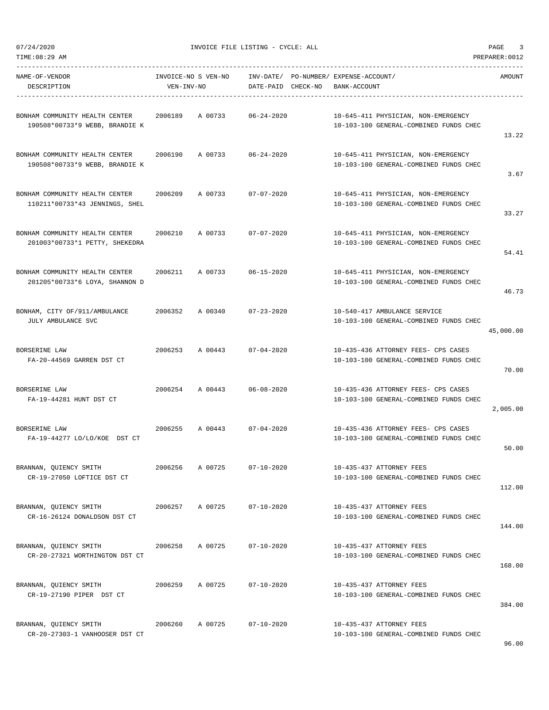07/24/2020 INVOICE FILE LISTING - CYCLE: ALL PAGE 3

| NAME-OF-VENDOR<br>DESCRIPTION                                            | VEN-INV-NO | INVOICE-NO S VEN-NO INV-DATE/ PO-NUMBER/ EXPENSE-ACCOUNT/ | DATE-PAID CHECK-NO | BANK-ACCOUNT |                                                                               | AMOUNT    |
|--------------------------------------------------------------------------|------------|-----------------------------------------------------------|--------------------|--------------|-------------------------------------------------------------------------------|-----------|
| BONHAM COMMUNITY HEALTH CENTER<br>190508*00733*9 WEBB, BRANDIE K         |            | 2006189 A 00733 06-24-2020                                |                    |              | 10-645-411 PHYSICIAN, NON-EMERGENCY<br>10-103-100 GENERAL-COMBINED FUNDS CHEC | 13.22     |
| BONHAM COMMUNITY HEALTH CENTER<br>190508*00733*9 WEBB, BRANDIE K         |            | 2006190 A 00733 06-24-2020                                |                    |              | 10-645-411 PHYSICIAN, NON-EMERGENCY<br>10-103-100 GENERAL-COMBINED FUNDS CHEC | 3.67      |
| BONHAM COMMUNITY HEALTH CENTER<br>110211*00733*43 JENNINGS, SHEL         | 2006209    | A 00733 07-07-2020                                        |                    |              | 10-645-411 PHYSICIAN, NON-EMERGENCY<br>10-103-100 GENERAL-COMBINED FUNDS CHEC | 33.27     |
| BONHAM COMMUNITY HEALTH CENTER 2006210<br>201003*00733*1 PETTY, SHEKEDRA |            | A 00733 07-07-2020                                        |                    |              | 10-645-411 PHYSICIAN, NON-EMERGENCY<br>10-103-100 GENERAL-COMBINED FUNDS CHEC | 54.41     |
| BONHAM COMMUNITY HEALTH CENTER<br>201205*00733*6 LOYA, SHANNON D         |            | 2006211 A 00733 06-15-2020                                |                    |              | 10-645-411 PHYSICIAN, NON-EMERGENCY<br>10-103-100 GENERAL-COMBINED FUNDS CHEC | 46.73     |
| BONHAM, CITY OF/911/AMBULANCE<br>JULY AMBULANCE SVC                      |            | 2006352 A 00340 07-23-2020                                |                    |              | 10-540-417 AMBULANCE SERVICE<br>10-103-100 GENERAL-COMBINED FUNDS CHEC        | 45,000.00 |
| BORSERINE LAW<br>FA-20-44569 GARREN DST CT                               |            | 2006253 A 00443 07-04-2020                                |                    |              | 10-435-436 ATTORNEY FEES- CPS CASES<br>10-103-100 GENERAL-COMBINED FUNDS CHEC | 70.00     |
| BORSERINE LAW<br>FA-19-44281 HUNT DST CT                                 | 2006254    | A 00443                                                   | $06 - 08 - 2020$   |              | 10-435-436 ATTORNEY FEES- CPS CASES<br>10-103-100 GENERAL-COMBINED FUNDS CHEC | 2,005.00  |
| BORSERINE LAW<br>FA-19-44277 LO/LO/KOE DST CT                            |            | 2006255 A 00443 07-04-2020                                |                    |              | 10-435-436 ATTORNEY FEES- CPS CASES<br>10-103-100 GENERAL-COMBINED FUNDS CHEC | 50.00     |
| BRANNAN, QUIENCY SMITH<br>CR-19-27050 LOFTICE DST CT                     |            | 2006256 A 00725                                           | $07 - 10 - 2020$   |              | 10-435-437 ATTORNEY FEES<br>10-103-100 GENERAL-COMBINED FUNDS CHEC            | 112.00    |
| CR-16-26124 DONALDSON DST CT                                             |            |                                                           |                    |              | 10-435-437 ATTORNEY FEES<br>10-103-100 GENERAL-COMBINED FUNDS CHEC            | 144.00    |
| BRANNAN, OUIENCY SMITH<br>CR-20-27321 WORTHINGTON DST CT                 |            | 2006258 A 00725                                           | $07 - 10 - 2020$   |              | 10-435-437 ATTORNEY FEES<br>10-103-100 GENERAL-COMBINED FUNDS CHEC            | 168.00    |
| BRANNAN, QUIENCY SMITH<br>CR-19-27190 PIPER DST CT                       |            | 2006259 A 00725                                           | 07-10-2020         |              | 10-435-437 ATTORNEY FEES<br>10-103-100 GENERAL-COMBINED FUNDS CHEC            | 384.00    |
| BRANNAN, QUIENCY SMITH<br>CR-20-27303-1 VANHOOSER DST CT                 |            | 2006260 A 00725 07-10-2020                                |                    |              | 10-435-437 ATTORNEY FEES<br>10-103-100 GENERAL-COMBINED FUNDS CHEC            |           |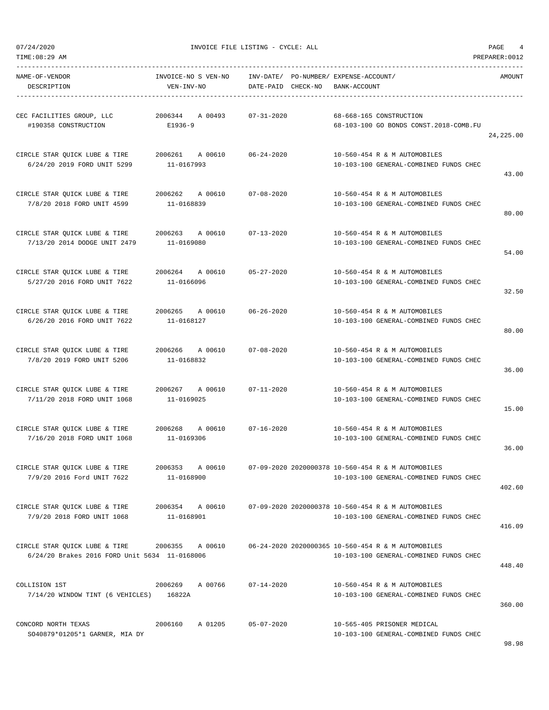07/24/2020 INVOICE FILE LISTING - CYCLE: ALL PAGE 4

| NAME-OF-VENDOR<br>DESCRIPTION                                                                       | VEN-INV-NO                       | INVOICE-NO S VEN-NO INV-DATE/ PO-NUMBER/ EXPENSE-ACCOUNT/<br>DATE-PAID CHECK-NO BANK-ACCOUNT |                                                                                                              | AMOUNT     |
|-----------------------------------------------------------------------------------------------------|----------------------------------|----------------------------------------------------------------------------------------------|--------------------------------------------------------------------------------------------------------------|------------|
| CEC FACILITIES GROUP, LLC 			 2006344 		 A 00493 		 07-31-2020<br>#190358 CONSTRUCTION              | E1936-9                          |                                                                                              | 68-668-165 CONSTRUCTION<br>68-103-100 GO BONDS CONST.2018-COMB.FU                                            | 24, 225.00 |
| CIRCLE STAR OUICK LUBE & TIRE 2006261 A 00610 06-24-2020<br>6/24/20 2019 FORD UNIT 5299             | 11-0167993                       |                                                                                              | 10-560-454 R & M AUTOMOBILES<br>10-103-100 GENERAL-COMBINED FUNDS CHEC                                       | 43.00      |
| CIRCLE STAR QUICK LUBE & TIRE 2006262 A 00610 07-08-2020<br>7/8/20 2018 FORD UNIT 4599              | 11-0168839                       |                                                                                              | 10-560-454 R & M AUTOMOBILES<br>10-103-100 GENERAL-COMBINED FUNDS CHEC                                       | 80.00      |
| CIRCLE STAR QUICK LUBE & TIRE 2006263 A 00610 07-13-2020<br>7/13/20 2014 DODGE UNIT 2479 11-0169080 |                                  |                                                                                              | 10-560-454 R & M AUTOMOBILES<br>10-103-100 GENERAL-COMBINED FUNDS CHEC                                       | 54.00      |
| CIRCLE STAR QUICK LUBE & TIRE 2006264 A 00610 05-27-2020<br>5/27/20 2016 FORD UNIT 7622             | 11-0166096                       |                                                                                              | 10-560-454 R & M AUTOMOBILES<br>10-103-100 GENERAL-COMBINED FUNDS CHEC                                       | 32.50      |
| CIRCLE STAR QUICK LUBE & TIRE $2006265$ A 00610 $06-26-2020$<br>6/26/20 2016 FORD UNIT 7622         | 11-0168127                       |                                                                                              | 10-560-454 R & M AUTOMOBILES<br>10-103-100 GENERAL-COMBINED FUNDS CHEC                                       | 80.00      |
| CIRCLE STAR QUICK LUBE & TIRE<br>7/8/20 2019 FORD UNIT 5206                                         | 11-0168832                       |                                                                                              | 10-560-454 R & M AUTOMOBILES<br>10-103-100 GENERAL-COMBINED FUNDS CHEC                                       | 36.00      |
| CIRCLE STAR QUICK LUBE & TIRE 2006267 A 00610 07-11-2020<br>7/11/20 2018 FORD UNIT 1068             | 11-0169025                       |                                                                                              | 10-560-454 R & M AUTOMOBILES<br>10-103-100 GENERAL-COMBINED FUNDS CHEC                                       | 15.00      |
| CIRCLE STAR QUICK LUBE & TIRE $2006268$ A 00610 07-16-2020<br>7/16/20 2018 FORD UNIT 1068           | 11-0169306                       |                                                                                              | 10-560-454 R & M AUTOMOBILES<br>10-103-100 GENERAL-COMBINED FUNDS CHEC                                       | 36.00      |
| CIRCLE STAR QUICK LUBE & TIRE<br>7/9/20 2016 Ford UNIT 7622                                         | 2006353<br>A 00610<br>11-0168900 |                                                                                              | 07-09-2020 2020000378 10-560-454 R & M AUTOMOBILES<br>10-103-100 GENERAL-COMBINED FUNDS CHEC                 | 402.60     |
| CIRCLE STAR QUICK LUBE & TIRE<br>7/9/20 2018 FORD UNIT 1068                                         | 11-0168901                       |                                                                                              | 2006354 A 00610 07-09-2020 2020000378 10-560-454 R & M AUTOMOBILES<br>10-103-100 GENERAL-COMBINED FUNDS CHEC | 416.09     |
| CIRCLE STAR QUICK LUBE & TIRE $2006355$ A 00610<br>6/24/20 Brakes 2016 FORD Unit 5634 11-0168006    |                                  |                                                                                              | 06-24-2020 2020000365 10-560-454 R & M AUTOMOBILES<br>10-103-100 GENERAL-COMBINED FUNDS CHEC                 | 448.40     |
| COLLISION 1ST<br>7/14/20 WINDOW TINT (6 VEHICLES) 16822A                                            | 2006269<br>A 00766               | $07 - 14 - 2020$                                                                             | 10-560-454 R & M AUTOMOBILES<br>10-103-100 GENERAL-COMBINED FUNDS CHEC                                       | 360.00     |
| CONCORD NORTH TEXAS<br>SO40879*01205*1 GARNER, MIA DY                                               | 2006160<br>A 01205               | $05 - 07 - 2020$                                                                             | 10-565-405 PRISONER MEDICAL<br>10-103-100 GENERAL-COMBINED FUNDS CHEC                                        |            |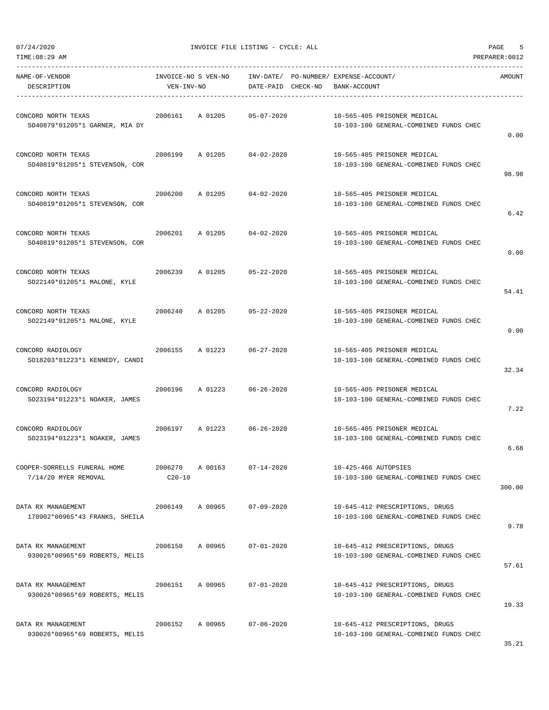| TIME:08:29 AM                                         |                                   |         |                    |                                                       |                                                                           | PREPARER: 0012 |
|-------------------------------------------------------|-----------------------------------|---------|--------------------|-------------------------------------------------------|---------------------------------------------------------------------------|----------------|
| NAME-OF-VENDOR<br>DESCRIPTION                         | INVOICE-NO S VEN-NO<br>VEN-INV-NO |         | DATE-PAID CHECK-NO | INV-DATE/ PO-NUMBER/ EXPENSE-ACCOUNT/<br>BANK-ACCOUNT |                                                                           | AMOUNT         |
| CONCORD NORTH TEXAS<br>SO40879*01205*1 GARNER, MIA DY | 2006161                           | A 01205 | $05 - 07 - 2020$   |                                                       | 10-565-405 PRISONER MEDICAL<br>10-103-100 GENERAL-COMBINED FUNDS CHEC     | 0.00           |
| CONCORD NORTH TEXAS<br>SO40819*01205*1 STEVENSON, COR | 2006199                           | A 01205 | $04 - 02 - 2020$   |                                                       | 10-565-405 PRISONER MEDICAL<br>10-103-100 GENERAL-COMBINED FUNDS CHEC     | 98.98          |
| CONCORD NORTH TEXAS<br>SO40819*01205*1 STEVENSON, COR | 2006200                           | A 01205 | $04 - 02 - 2020$   |                                                       | 10-565-405 PRISONER MEDICAL<br>10-103-100 GENERAL-COMBINED FUNDS CHEC     | 6.42           |
| CONCORD NORTH TEXAS<br>SO40819*01205*1 STEVENSON, COR | 2006201                           | A 01205 | $04 - 02 - 2020$   |                                                       | 10-565-405 PRISONER MEDICAL<br>10-103-100 GENERAL-COMBINED FUNDS CHEC     | 0.00           |
| CONCORD NORTH TEXAS<br>SO22149*01205*1 MALONE, KYLE   | 2006239                           | A 01205 | $05 - 22 - 2020$   |                                                       | 10-565-405 PRISONER MEDICAL<br>10-103-100 GENERAL-COMBINED FUNDS CHEC     | 54.41          |
| CONCORD NORTH TEXAS<br>SO22149*01205*1 MALONE, KYLE   | 2006240                           | A 01205 | $05 - 22 - 2020$   |                                                       | 10-565-405 PRISONER MEDICAL<br>10-103-100 GENERAL-COMBINED FUNDS CHEC     | 0.00           |
| CONCORD RADIOLOGY<br>SO18203*01223*1 KENNEDY, CANDI   | 2006155                           | A 01223 | $06 - 27 - 2020$   |                                                       | 10-565-405 PRISONER MEDICAL<br>10-103-100 GENERAL-COMBINED FUNDS CHEC     | 32.34          |
| CONCORD RADIOLOGY<br>SO23194*01223*1 NOAKER, JAMES    | 2006196                           | A 01223 | $06 - 26 - 2020$   |                                                       | 10-565-405 PRISONER MEDICAL<br>10-103-100 GENERAL-COMBINED FUNDS CHEC     | 7.22           |
| CONCORD RADIOLOGY<br>SO23194*01223*1 NOAKER, JAMES    | 2006197                           | A 01223 | $06 - 26 - 2020$   |                                                       | 10-565-405 PRISONER MEDICAL<br>10-103-100 GENERAL-COMBINED FUNDS CHEC     | 6.68           |
| COOPER-SORRELLS FUNERAL HOME<br>7/14/20 MYER REMOVAL  | 2006270<br>$C20 - 10$             | A 00163 | $07 - 14 - 2020$   | 10-425-466 AUTOPSIES                                  | 10-103-100 GENERAL-COMBINED FUNDS CHEC                                    | 300.00         |
| DATA RX MANAGEMENT<br>170902*00965*43 FRANKS, SHEILA  | 2006149                           | A 00965 | $07 - 09 - 2020$   |                                                       | 10-645-412 PRESCRIPTIONS, DRUGS<br>10-103-100 GENERAL-COMBINED FUNDS CHEC | 9.78           |
| DATA RX MANAGEMENT<br>930026*00965*69 ROBERTS, MELIS  | 2006150                           | A 00965 | $07 - 01 - 2020$   |                                                       | 10-645-412 PRESCRIPTIONS, DRUGS<br>10-103-100 GENERAL-COMBINED FUNDS CHEC | 57.61          |
| DATA RX MANAGEMENT<br>930026*00965*69 ROBERTS, MELIS  | 2006151                           | A 00965 | $07 - 01 - 2020$   |                                                       | 10-645-412 PRESCRIPTIONS, DRUGS<br>10-103-100 GENERAL-COMBINED FUNDS CHEC | 19.33          |
| DATA RX MANAGEMENT<br>930026*00965*69 ROBERTS, MELIS  | 2006152                           | A 00965 | $07 - 06 - 2020$   |                                                       | 10-645-412 PRESCRIPTIONS, DRUGS<br>10-103-100 GENERAL-COMBINED FUNDS CHEC |                |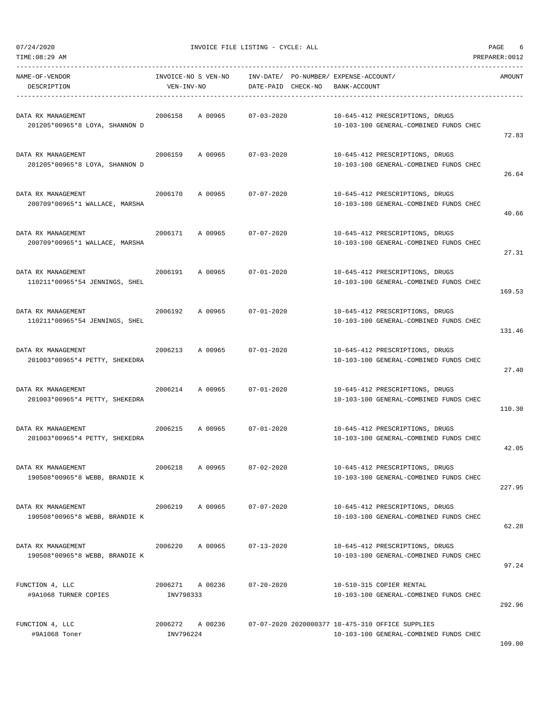| TIME:08:29 AM                                        |                              |                     |                    |                                                       |                                                                                            | PREPARER: 0012 |
|------------------------------------------------------|------------------------------|---------------------|--------------------|-------------------------------------------------------|--------------------------------------------------------------------------------------------|----------------|
| NAME-OF-VENDOR<br>DESCRIPTION                        | VEN-INV-NO                   | INVOICE-NO S VEN-NO | DATE-PAID CHECK-NO | INV-DATE/ PO-NUMBER/ EXPENSE-ACCOUNT/<br>BANK-ACCOUNT |                                                                                            | AMOUNT         |
| DATA RX MANAGEMENT<br>201205*00965*8 LOYA, SHANNON D | 2006158                      | A 00965             | $07 - 03 - 2020$   |                                                       | 10-645-412 PRESCRIPTIONS, DRUGS<br>10-103-100 GENERAL-COMBINED FUNDS CHEC                  | 72.83          |
| DATA RX MANAGEMENT<br>201205*00965*8 LOYA, SHANNON D | 2006159                      | A 00965             | $07 - 03 - 2020$   |                                                       | 10-645-412 PRESCRIPTIONS, DRUGS<br>10-103-100 GENERAL-COMBINED FUNDS CHEC                  | 26.64          |
| DATA RX MANAGEMENT<br>200709*00965*1 WALLACE, MARSHA | 2006170                      | A 00965             | $07 - 07 - 2020$   |                                                       | 10-645-412 PRESCRIPTIONS, DRUGS<br>10-103-100 GENERAL-COMBINED FUNDS CHEC                  | 40.66          |
| DATA RX MANAGEMENT<br>200709*00965*1 WALLACE, MARSHA | 2006171                      | A 00965             | $07 - 07 - 2020$   |                                                       | 10-645-412 PRESCRIPTIONS, DRUGS<br>10-103-100 GENERAL-COMBINED FUNDS CHEC                  | 27.31          |
| DATA RX MANAGEMENT<br>110211*00965*54 JENNINGS, SHEL | 2006191                      | A 00965             | $07 - 01 - 2020$   |                                                       | 10-645-412 PRESCRIPTIONS, DRUGS<br>10-103-100 GENERAL-COMBINED FUNDS CHEC                  | 169.53         |
| DATA RX MANAGEMENT<br>110211*00965*54 JENNINGS, SHEL | 2006192                      | A 00965             | $07 - 01 - 2020$   |                                                       | 10-645-412 PRESCRIPTIONS, DRUGS<br>10-103-100 GENERAL-COMBINED FUNDS CHEC                  | 131.46         |
| DATA RX MANAGEMENT<br>201003*00965*4 PETTY, SHEKEDRA | 2006213                      | A 00965             | $07 - 01 - 2020$   |                                                       | 10-645-412 PRESCRIPTIONS, DRUGS<br>10-103-100 GENERAL-COMBINED FUNDS CHEC                  | 27.40          |
| DATA RX MANAGEMENT<br>201003*00965*4 PETTY, SHEKEDRA | 2006214                      | A 00965             | $07 - 01 - 2020$   |                                                       | 10-645-412 PRESCRIPTIONS, DRUGS<br>10-103-100 GENERAL-COMBINED FUNDS CHEC                  | 110.30         |
| DATA RX MANAGEMENT<br>201003*00965*4 PETTY, SHEKEDRA | 2006215                      | A 00965             | $07 - 01 - 2020$   |                                                       | 10-645-412 PRESCRIPTIONS, DRUGS<br>10-103-100 GENERAL-COMBINED FUNDS CHEC                  | 42.05          |
| DATA RX MANAGEMENT<br>190508*00965*8 WEBB, BRANDIE K | 2006218                      | A 00965             | $07 - 02 - 2020$   |                                                       | 10-645-412 PRESCRIPTIONS, DRUGS<br>10-103-100 GENERAL-COMBINED FUNDS CHEC                  | 227.95         |
| DATA RX MANAGEMENT<br>190508*00965*8 WEBB, BRANDIE K | 2006219                      | A 00965             | $07 - 07 - 2020$   |                                                       | 10-645-412 PRESCRIPTIONS, DRUGS<br>10-103-100 GENERAL-COMBINED FUNDS CHEC                  | 62.28          |
| DATA RX MANAGEMENT<br>190508*00965*8 WEBB, BRANDIE K | 2006220                      | A 00965             | $07 - 13 - 2020$   |                                                       | 10-645-412 PRESCRIPTIONS, DRUGS<br>10-103-100 GENERAL-COMBINED FUNDS CHEC                  | 97.24          |
| FUNCTION 4, LLC<br>#9A1068 TURNER COPIES             | 2006271 A 00236<br>INV798333 |                     | $07 - 20 - 2020$   |                                                       | 10-510-315 COPIER RENTAL<br>10-103-100 GENERAL-COMBINED FUNDS CHEC                         | 292.96         |
| FUNCTION 4, LLC<br>#9A1068 Toner                     | 2006272 A 00236<br>INV796224 |                     |                    |                                                       | 07-07-2020 2020000377 10-475-310 OFFICE SUPPLIES<br>10-103-100 GENERAL-COMBINED FUNDS CHEC |                |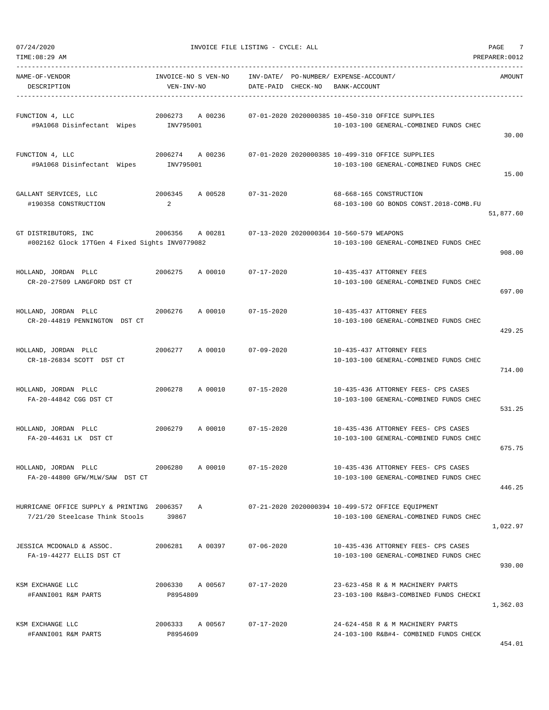| 07/24/2020<br>TIME: 08:29 AM                                                 |                              | INVOICE FILE LISTING - CYCLE: ALL                         |                                          |              |                                                                                             | 7<br>PAGE<br>PREPARER: 0012 |
|------------------------------------------------------------------------------|------------------------------|-----------------------------------------------------------|------------------------------------------|--------------|---------------------------------------------------------------------------------------------|-----------------------------|
| NAME-OF-VENDOR<br>DESCRIPTION                                                | VEN-INV-NO                   | INVOICE-NO S VEN-NO INV-DATE/ PO-NUMBER/ EXPENSE-ACCOUNT/ | DATE-PAID CHECK-NO                       | BANK-ACCOUNT |                                                                                             | AMOUNT                      |
| FUNCTION 4, LLC<br>#9A1068 Disinfectant Wipes                                | 2006273 A 00236<br>INV795001 |                                                           |                                          |              | 07-01-2020 2020000385 10-450-310 OFFICE SUPPLIES<br>10-103-100 GENERAL-COMBINED FUNDS CHEC  | 30.00                       |
| FUNCTION 4, LLC<br>#9A1068 Disinfectant Wipes                                | 2006274 A 00236<br>INV795001 |                                                           |                                          |              | 07-01-2020 2020000385 10-499-310 OFFICE SUPPLIES<br>10-103-100 GENERAL-COMBINED FUNDS CHEC  | 15.00                       |
| GALLANT SERVICES, LLC<br>#190358 CONSTRUCTION                                | 2006345<br>2                 | A 00528                                                   | $07 - 31 - 2020$                         |              | 68-668-165 CONSTRUCTION<br>68-103-100 GO BONDS CONST.2018-COMB.FU                           | 51,877.60                   |
| GT DISTRIBUTORS, INC<br>#002162 Glock 17TGen 4 Fixed Sights INV0779082       | 2006356 A 00281              |                                                           | 07-13-2020 2020000364 10-560-579 WEAPONS |              | 10-103-100 GENERAL-COMBINED FUNDS CHEC                                                      | 908.00                      |
| HOLLAND, JORDAN PLLC<br>CR-20-27509 LANGFORD DST CT                          | 2006275                      | A 00010                                                   | 07-17-2020                               |              | 10-435-437 ATTORNEY FEES<br>10-103-100 GENERAL-COMBINED FUNDS CHEC                          | 697.00                      |
| HOLLAND, JORDAN PLLC<br>CR-20-44819 PENNINGTON DST CT                        | 2006276                      | A 00010                                                   | $07 - 15 - 2020$                         |              | 10-435-437 ATTORNEY FEES<br>10-103-100 GENERAL-COMBINED FUNDS CHEC                          | 429.25                      |
| HOLLAND, JORDAN PLLC<br>CR-18-26834 SCOTT DST CT                             | 2006277                      | A 00010                                                   | $07 - 09 - 2020$                         |              | 10-435-437 ATTORNEY FEES<br>10-103-100 GENERAL-COMBINED FUNDS CHEC                          | 714.00                      |
| HOLLAND, JORDAN PLLC<br>FA-20-44842 CGG DST CT                               | 2006278                      | A 00010                                                   | $07 - 15 - 2020$                         |              | 10-435-436 ATTORNEY FEES- CPS CASES<br>10-103-100 GENERAL-COMBINED FUNDS CHEC               | 531.25                      |
| HOLLAND, JORDAN PLLC<br>FA-20-44631 LK DST CT                                | 2006279                      | A 00010                                                   | $07 - 15 - 2020$                         |              | 10-435-436 ATTORNEY FEES- CPS CASES<br>10-103-100 GENERAL-COMBINED FUNDS CHEC               | 675.75                      |
| HOLLAND, JORDAN PLLC<br>FA-20-44800 GFW/MLW/SAW DST CT                       | 2006280                      | A 00010                                                   | $07 - 15 - 2020$                         |              | 10-435-436 ATTORNEY FEES- CPS CASES<br>10-103-100 GENERAL-COMBINED FUNDS CHEC               | 446.25                      |
| HURRICANE OFFICE SUPPLY & PRINTING 2006357<br>7/21/20 Steelcase Think Stools | 39867                        | A                                                         |                                          |              | 07-21-2020 2020000394 10-499-572 OFFICE EQUIPMENT<br>10-103-100 GENERAL-COMBINED FUNDS CHEC | 1,022.97                    |
| JESSICA MCDONALD & ASSOC.<br>FA-19-44277 ELLIS DST CT                        | 2006281 A 00397              |                                                           | $07 - 06 - 2020$                         |              | 10-435-436 ATTORNEY FEES- CPS CASES<br>10-103-100 GENERAL-COMBINED FUNDS CHEC               | 930.00                      |
| KSM EXCHANGE LLC<br>#FANNI001 R&M PARTS                                      | 2006330<br>P8954809          | A 00567                                                   | $07 - 17 - 2020$                         |              | 23-623-458 R & M MACHINERY PARTS<br>23-103-100 R&B#3-COMBINED FUNDS CHECKI                  | 1,362.03                    |
| KSM EXCHANGE LLC<br>#FANNI001 R&M PARTS                                      | 2006333 A 00567<br>P8954609  |                                                           | $07 - 17 - 2020$                         |              | 24-624-458 R & M MACHINERY PARTS<br>24-103-100 R&B#4- COMBINED FUNDS CHECK                  | $A E A$ 0.1                 |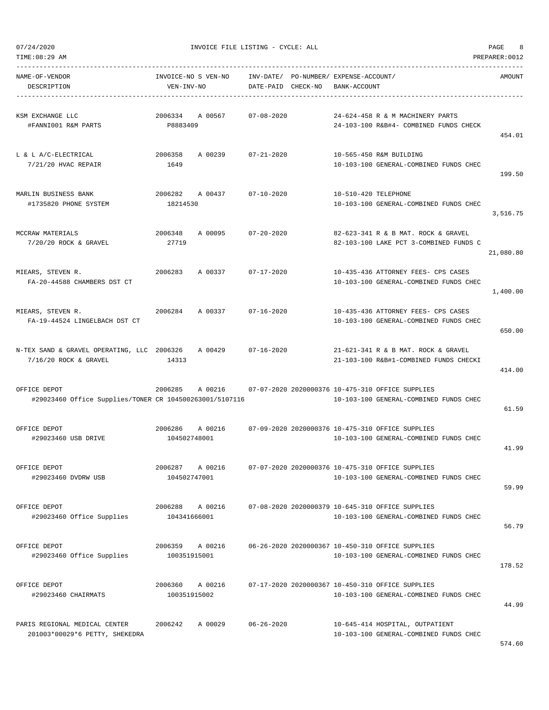| TIME:08:29 AM                                                           |                                    |                                    |                                                                                            | PREPARER: 0012 |
|-------------------------------------------------------------------------|------------------------------------|------------------------------------|--------------------------------------------------------------------------------------------|----------------|
| NAME-OF-VENDOR<br>DESCRIPTION                                           | INVOICE-NO S VEN-NO<br>VEN-INV-NO  | INV-DATE/<br>DATE-PAID<br>CHECK-NO | PO-NUMBER/ EXPENSE-ACCOUNT/<br>BANK-ACCOUNT                                                | AMOUNT         |
| KSM EXCHANGE LLC<br>#FANNI001 R&M PARTS                                 | 2006334<br>A 00567<br>P8883409     | $07 - 08 - 2020$                   | 24-624-458 R & M MACHINERY PARTS<br>24-103-100 R&B#4- COMBINED FUNDS CHECK                 | 454.01         |
| L & L A/C-ELECTRICAL<br>$7/21/20$ HVAC REPAIR                           | 2006358<br>A 00239<br>1649         | $07 - 21 - 2020$                   | 10-565-450 R&M BUILDING<br>10-103-100 GENERAL-COMBINED FUNDS CHEC                          | 199.50         |
| MARLIN BUSINESS BANK<br>#1735820 PHONE SYSTEM                           | 2006282<br>A 00437<br>18214530     | $07 - 10 - 2020$                   | 10-510-420 TELEPHONE<br>10-103-100 GENERAL-COMBINED FUNDS CHEC                             | 3,516.75       |
| MCCRAW MATERIALS<br>7/20/20 ROCK & GRAVEL                               | 2006348<br>A 00095<br>27719        | $07 - 20 - 2020$                   | 82-623-341 R & B MAT. ROCK & GRAVEL<br>82-103-100 LAKE PCT 3-COMBINED FUNDS C              | 21,080.80      |
| MIEARS, STEVEN R.<br>FA-20-44588 CHAMBERS DST CT                        | 2006283<br>A 00337                 | $07 - 17 - 2020$                   | 10-435-436 ATTORNEY FEES- CPS CASES<br>10-103-100 GENERAL-COMBINED FUNDS CHEC              | 1,400.00       |
| MIEARS, STEVEN R.<br>FA-19-44524 LINGELBACH DST CT                      | 2006284<br>A 00337                 | $07 - 16 - 2020$                   | 10-435-436 ATTORNEY FEES- CPS CASES<br>10-103-100 GENERAL-COMBINED FUNDS CHEC              | 650.00         |
| N-TEX SAND & GRAVEL OPERATING, LLC 2006326<br>$7/16/20$ ROCK & GRAVEL   | A 00429<br>14313                   | $07 - 16 - 2020$                   | 21-621-341 R & B MAT. ROCK & GRAVEL<br>21-103-100 R&B#1-COMBINED FUNDS CHECKI              | 414.00         |
| OFFICE DEPOT<br>#29023460 Office Supplies/TONER CR 104500263001/5107116 | 2006285<br>A 00216                 |                                    | 07-07-2020 2020000376 10-475-310 OFFICE SUPPLIES<br>10-103-100 GENERAL-COMBINED FUNDS CHEC | 61.59          |
| OFFICE DEPOT<br>#29023460 USB DRIVE                                     | 2006286<br>A 00216<br>104502748001 |                                    | 07-09-2020 2020000376 10-475-310 OFFICE SUPPLIES<br>10-103-100 GENERAL-COMBINED FUNDS CHEC | 41.99          |
| OFFICE DEPOT<br>#29023460 DVDRW USB                                     | 2006287<br>A 00216<br>104502747001 |                                    | 07-07-2020 2020000376 10-475-310 OFFICE SUPPLIES<br>10-103-100 GENERAL-COMBINED FUNDS CHEC | 59.99          |
| OFFICE DEPOT<br>#29023460 Office Supplies                               | A 00216<br>2006288<br>104341666001 |                                    | 07-08-2020 2020000379 10-645-310 OFFICE SUPPLIES<br>10-103-100 GENERAL-COMBINED FUNDS CHEC | 56.79          |
| OFFICE DEPOT<br>#29023460 Office Supplies                               | 2006359 A 00216<br>100351915001    |                                    | 06-26-2020 2020000367 10-450-310 OFFICE SUPPLIES<br>10-103-100 GENERAL-COMBINED FUNDS CHEC | 178.52         |
| OFFICE DEPOT<br>#29023460 CHAIRMATS                                     | A 00216<br>2006360<br>100351915002 |                                    | 07-17-2020 2020000367 10-450-310 OFFICE SUPPLIES<br>10-103-100 GENERAL-COMBINED FUNDS CHEC | 44.99          |
| PARIS REGIONAL MEDICAL CENTER<br>201003*00029*6 PETTY, SHEKEDRA         | 2006242<br>A 00029                 | $06 - 26 - 2020$                   | 10-645-414 HOSPITAL, OUTPATIENT<br>10-103-100 GENERAL-COMBINED FUNDS CHEC                  |                |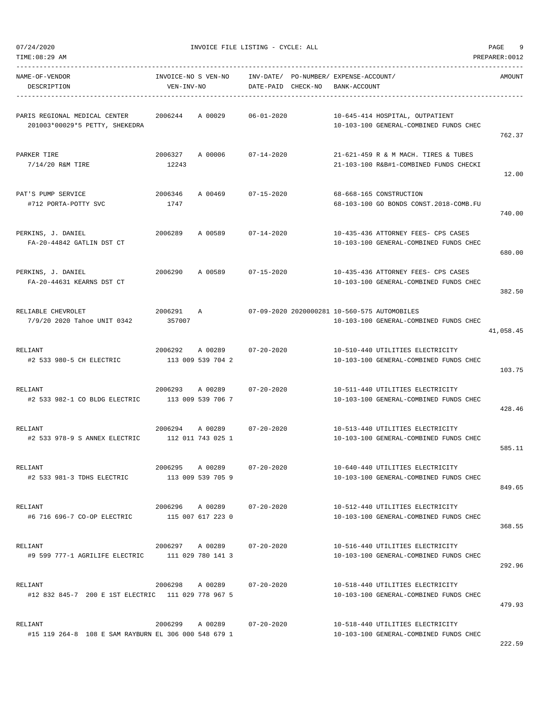|  | 07/24/2020 |
|--|------------|

INVOICE FILE LISTING - CYCLE: ALL PAGE 9

TIME:08:29 AM PREPARER:0012 ----------------------------------------------------------------------------------------------------------------------------------- NAME-OF-VENDOR INVOICE-NO S VEN-NO INV-DATE/ PO-NUMBER/ EXPENSE-ACCOUNT/ AMOUNT DESCRIPTION VEN-INV-NO DATE-PAID CHECK-NO BANK-ACCOUNT ----------------------------------------------------------------------------------------------------------------------------------- PARIS REGIONAL MEDICAL CENTER 2006244 A 00029 06-01-2020 10-645-414 HOSPITAL, OUTPATIENT 201003\*00029\*5 PETTY, SHEKEDRA 10-103-100 GENERAL-COMBINED FUNDS CHEC 762.37 PARKER TIRE 2006327 A 00006 07-14-2020 21-621-459 R & M MACH. TIRES & TUBES 7/14/20 R&M TIRE 12243 21-103-100 R&B#1-COMBINED FUNDS CHECKI 12.00 PAT'S PUMP SERVICE 2006346 A 00469 07-15-2020 68-668-165 CONSTRUCTION #712 PORTA-POTTY SVC 1747 68-103-100 GO BONDS CONST.2018-COMB.FU 740.00 PERKINS, J. DANIEL 2006289 A 00589 07-14-2020 10-435-436 ATTORNEY FEES- CPS CASES FA-20-44842 GATLIN DST CT 10-103-100 GENERAL-COMBINED FUNDS CHEC 680.00 PERKINS, J. DANIEL 2006290 A 00589 07-15-2020 10-435-436 ATTORNEY FEES- CPS CASES FA-20-44631 KEARNS DST CT 10-103-100 GENERAL-COMBINED FUNDS CHEC 382.50 RELIABLE CHEVROLET 2006291 A 07-09-2020 2020000281 10-560-575 AUTOMOBILES 7/9/20 2020 Tahoe UNIT 0342 357007 10-103-100 GENERAL-COMBINED FUNDS CHEC 41,058.45 RELIANT 2006292 A 00289 07-20-2020 10-510-440 UTILITIES ELECTRICITY #2 533 980-5 CH ELECTRIC 113 009 539 704 2 10-103-100 GENERAL-COMBINED FUNDS CHEC 103.75 RELIANT 2006293 A 00289 07-20-2020 10-511-440 UTILITIES ELECTRICITY #2 533 982-1 CO BLDG ELECTRIC 113 009 539 706 7 10-103-100 GENERAL-COMBINED FUNDS CHEC 428.46 RELIANT 2006294 A 00289 07-20-2020 10-513-440 UTILITIES ELECTRICITY #2 533 978-9 S ANNEX ELECTRIC 112 011 743 025 1 10-103-100 GENERAL-COMBINED FUNDS CHEC 585.11 RELIANT 2006295 A 00289 07-20-2020 10-640-440 UTILITIES ELECTRICITY #2 533 981-3 TDHS ELECTRIC 113 009 539 705 9 10-103-100 GENERAL-COMBINED FUNDS CHEC 849.65 RELIANT 2006296 A 00289 07-20-2020 10-512-440 UTILITIES ELECTRICITY #6 716 696-7 CO-OP ELECTRIC 115 007 617 223 0 10-103-100 GENERAL-COMBINED FUNDS CHEC 368.55 RELIANT 2006297 A 00289 07-20-2020 10-516-440 UTILITIES ELECTRICITY #9 599 777-1 AGRILIFE ELECTRIC 111 029 780 141 3 10-103-100 GENERAL-COMBINED FUNDS CHEC 292.96 RELIANT 2006298 A 00289 07-20-2020 10-518-440 UTILITIES ELECTRICITY #12 832 845-7 200 E 1ST ELECTRIC 111 029 778 967 5 10-103-100 GENERAL-COMBINED FUNDS CHEC 479.93 RELIANT 2006299 A 00289 07-20-2020 10-518-440 UTILITIES ELECTRICITY #15 119 264-8 108 E SAM RAYBURN EL 306 000 548 679 1 10-103-100 GENERAL-COMBINED FUNDS CHEC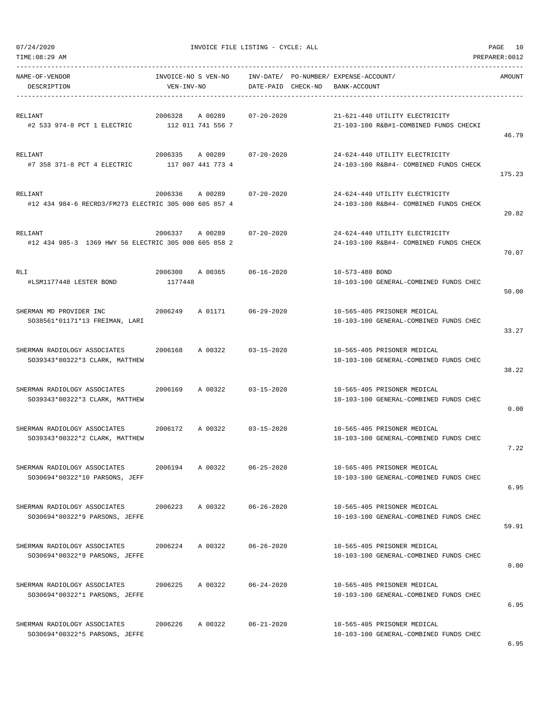|  | 07/24/2020 |  |
|--|------------|--|

| TIME: 08:29 AM                                                   |                                         |                    |                                                                          | PREPARER: 0012 |
|------------------------------------------------------------------|-----------------------------------------|--------------------|--------------------------------------------------------------------------|----------------|
| NAME-OF-VENDOR<br>DESCRIPTION                                    | INVOICE-NO S VEN-NO<br>VEN-INV-NO       | DATE-PAID CHECK-NO | INV-DATE/ PO-NUMBER/ EXPENSE-ACCOUNT/<br>BANK-ACCOUNT                    | AMOUNT         |
| RELIANT<br>#2 533 974-8 PCT 1 ELECTRIC                           | 2006328<br>A 00289<br>112 011 741 556 7 | $07 - 20 - 2020$   | 21-621-440 UTILITY ELECTRICITY<br>21-103-100 R&B#1-COMBINED FUNDS CHECKI | 46.79          |
| RELIANT<br>#7 358 371-8 PCT 4 ELECTRIC                           | 2006335<br>A 00289<br>117 007 441 773 4 | $07 - 20 - 2020$   | 24-624-440 UTILITY ELECTRICITY<br>24-103-100 R&B#4- COMBINED FUNDS CHECK | 175.23         |
| RELIANT<br>#12 434 984-6 RECRD3/FM273 ELECTRIC 305 000 605 857 4 | 2006336<br>A 00289                      | $07 - 20 - 2020$   | 24-624-440 UTILITY ELECTRICITY<br>24-103-100 R&B#4- COMBINED FUNDS CHECK | 20.82          |
| RELIANT<br>#12 434 985-3 1369 HWY 56 ELECTRIC 305 000 605 858 2  | 2006337<br>A 00289                      | $07 - 20 - 2020$   | 24-624-440 UTILITY ELECTRICITY<br>24-103-100 R&B#4- COMBINED FUNDS CHECK | 70.07          |
| <b>RLI</b><br>#LSM1177448 LESTER BOND                            | 2006300<br>A 00365<br>1177448           | $06 - 16 - 2020$   | 10-573-480 BOND<br>10-103-100 GENERAL-COMBINED FUNDS CHEC                | 50.00          |
| SHERMAN MD PROVIDER INC<br>SO38561*01171*13 FREIMAN, LARI        | 2006249<br>A 01171                      | $06 - 29 - 2020$   | 10-565-405 PRISONER MEDICAL<br>10-103-100 GENERAL-COMBINED FUNDS CHEC    | 33.27          |
| SHERMAN RADIOLOGY ASSOCIATES<br>SO39343*00322*3 CLARK, MATTHEW   | 2006168<br>A 00322                      | $03 - 15 - 2020$   | 10-565-405 PRISONER MEDICAL<br>10-103-100 GENERAL-COMBINED FUNDS CHEC    | 38.22          |
| SHERMAN RADIOLOGY ASSOCIATES<br>SO39343*00322*3 CLARK, MATTHEW   | 2006169<br>A 00322                      | $03 - 15 - 2020$   | 10-565-405 PRISONER MEDICAL<br>10-103-100 GENERAL-COMBINED FUNDS CHEC    | 0.00           |
| SHERMAN RADIOLOGY ASSOCIATES<br>SO39343*00322*2 CLARK, MATTHEW   | 2006172<br>A 00322                      | $03 - 15 - 2020$   | 10-565-405 PRISONER MEDICAL<br>10-103-100 GENERAL-COMBINED FUNDS CHEC    | 7.22           |
| SHERMAN RADIOLOGY ASSOCIATES<br>SO30694*00322*10 PARSONS, JEFF   | 2006194<br>A 00322                      | $06 - 25 - 2020$   | 10-565-405 PRISONER MEDICAL<br>10-103-100 GENERAL-COMBINED FUNDS CHEC    | 6.95           |
| SHERMAN RADIOLOGY ASSOCIATES<br>SO30694*00322*9 PARSONS, JEFFE   | 2006223<br>A 00322                      | $06 - 26 - 2020$   | 10-565-405 PRISONER MEDICAL<br>10-103-100 GENERAL-COMBINED FUNDS CHEC    | 59.91          |
| SHERMAN RADIOLOGY ASSOCIATES<br>SO30694*00322*9 PARSONS, JEFFE   | 2006224<br>A 00322                      | $06 - 26 - 2020$   | 10-565-405 PRISONER MEDICAL<br>10-103-100 GENERAL-COMBINED FUNDS CHEC    | 0.00           |
| SHERMAN RADIOLOGY ASSOCIATES<br>SO30694*00322*1 PARSONS, JEFFE   | 2006225<br>A 00322                      | $06 - 24 - 2020$   | 10-565-405 PRISONER MEDICAL<br>10-103-100 GENERAL-COMBINED FUNDS CHEC    | 6.95           |
| SHERMAN RADIOLOGY ASSOCIATES<br>SO30694*00322*5 PARSONS, JEFFE   | 2006226<br>A 00322                      | $06 - 21 - 2020$   | 10-565-405 PRISONER MEDICAL<br>10-103-100 GENERAL-COMBINED FUNDS CHEC    |                |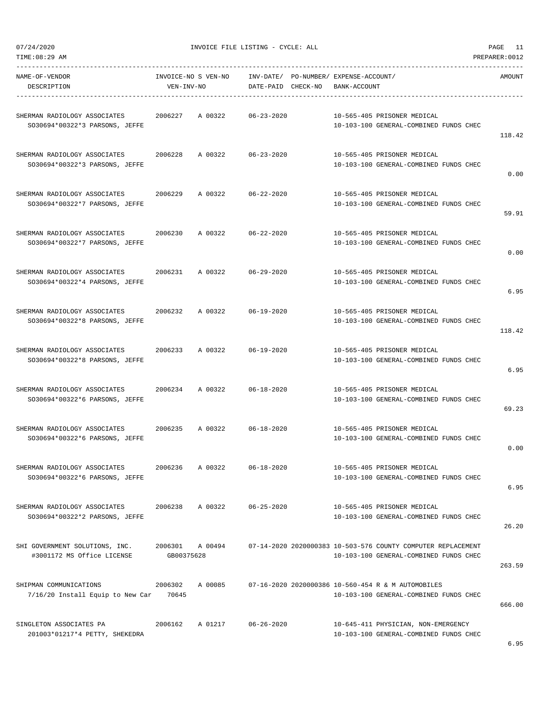| TIME: 08:29 AM                   |                  |                     |                    |                                       |                                                                                              | PREPARER: 0012 |
|----------------------------------|------------------|---------------------|--------------------|---------------------------------------|----------------------------------------------------------------------------------------------|----------------|
| NAME-OF-VENDOR                   |                  | INVOICE-NO S VEN-NO |                    | INV-DATE/ PO-NUMBER/ EXPENSE-ACCOUNT/ |                                                                                              | AMOUNT         |
| DESCRIPTION                      | VEN-INV-NO       |                     | DATE-PAID CHECK-NO | BANK-ACCOUNT                          |                                                                                              |                |
|                                  |                  |                     |                    |                                       |                                                                                              |                |
| SHERMAN RADIOLOGY ASSOCIATES     | 2006227          | A 00322             | $06 - 23 - 2020$   |                                       | 10-565-405 PRISONER MEDICAL                                                                  |                |
| SO30694*00322*3 PARSONS, JEFFE   |                  |                     |                    |                                       | 10-103-100 GENERAL-COMBINED FUNDS CHEC                                                       | 118.42         |
|                                  |                  |                     |                    |                                       |                                                                                              |                |
| SHERMAN RADIOLOGY ASSOCIATES     | 2006228          | A 00322             | $06 - 23 - 2020$   |                                       | 10-565-405 PRISONER MEDICAL                                                                  |                |
| SO30694*00322*3 PARSONS, JEFFE   |                  |                     |                    |                                       | 10-103-100 GENERAL-COMBINED FUNDS CHEC                                                       |                |
|                                  |                  |                     |                    |                                       |                                                                                              | 0.00           |
| SHERMAN RADIOLOGY ASSOCIATES     | 2006229          | A 00322             | $06 - 22 - 2020$   |                                       | 10-565-405 PRISONER MEDICAL                                                                  |                |
| SO30694*00322*7 PARSONS, JEFFE   |                  |                     |                    |                                       | 10-103-100 GENERAL-COMBINED FUNDS CHEC                                                       |                |
|                                  |                  |                     |                    |                                       |                                                                                              | 59.91          |
| SHERMAN RADIOLOGY ASSOCIATES     | 2006230          | A 00322             | $06 - 22 - 2020$   |                                       | 10-565-405 PRISONER MEDICAL                                                                  |                |
| SO30694*00322*7 PARSONS, JEFFE   |                  |                     |                    |                                       | 10-103-100 GENERAL-COMBINED FUNDS CHEC                                                       |                |
|                                  |                  |                     |                    |                                       |                                                                                              | 0.00           |
|                                  |                  |                     |                    |                                       |                                                                                              |                |
| SHERMAN RADIOLOGY ASSOCIATES     | 2006231          | A 00322             | $06 - 29 - 2020$   |                                       | 10-565-405 PRISONER MEDICAL                                                                  |                |
| SO30694*00322*4 PARSONS, JEFFE   |                  |                     |                    |                                       | 10-103-100 GENERAL-COMBINED FUNDS CHEC                                                       | 6.95           |
|                                  |                  |                     |                    |                                       |                                                                                              |                |
| SHERMAN RADIOLOGY ASSOCIATES     | 2006232          | A 00322             | $06 - 19 - 2020$   |                                       | 10-565-405 PRISONER MEDICAL                                                                  |                |
| SO30694*00322*8 PARSONS, JEFFE   |                  |                     |                    |                                       | 10-103-100 GENERAL-COMBINED FUNDS CHEC                                                       |                |
|                                  |                  |                     |                    |                                       |                                                                                              | 118.42         |
| SHERMAN RADIOLOGY ASSOCIATES     | 2006233          | A 00322             | $06 - 19 - 2020$   |                                       | 10-565-405 PRISONER MEDICAL                                                                  |                |
| SO30694*00322*8 PARSONS, JEFFE   |                  |                     |                    |                                       | 10-103-100 GENERAL-COMBINED FUNDS CHEC                                                       |                |
|                                  |                  |                     |                    |                                       |                                                                                              | 6.95           |
| SHERMAN RADIOLOGY ASSOCIATES     | 2006234          | A 00322             | $06 - 18 - 2020$   |                                       | 10-565-405 PRISONER MEDICAL                                                                  |                |
| SO30694*00322*6 PARSONS, JEFFE   |                  |                     |                    |                                       | 10-103-100 GENERAL-COMBINED FUNDS CHEC                                                       |                |
|                                  |                  |                     |                    |                                       |                                                                                              | 69.23          |
|                                  |                  |                     |                    |                                       |                                                                                              |                |
| SHERMAN RADIOLOGY ASSOCIATES     | 2006235          | A 00322             | $06 - 18 - 2020$   |                                       | 10-565-405 PRISONER MEDICAL<br>10-103-100 GENERAL-COMBINED FUNDS CHEC                        |                |
| SO30694*00322*6 PARSONS, JEFFE   |                  |                     |                    |                                       |                                                                                              | 0.00           |
|                                  |                  |                     |                    |                                       |                                                                                              |                |
| SHERMAN RADIOLOGY ASSOCIATES     | 2006236          | A 00322             | $06 - 18 - 2020$   |                                       | 10-565-405 PRISONER MEDICAL                                                                  |                |
| SO30694*00322*6 PARSONS, JEFFE   |                  |                     |                    |                                       | 10-103-100 GENERAL-COMBINED FUNDS CHEC                                                       |                |
|                                  |                  |                     |                    |                                       |                                                                                              | 6.95           |
| SHERMAN RADIOLOGY ASSOCIATES     | 2006238          | A 00322             | $06 - 25 - 2020$   |                                       | 10-565-405 PRISONER MEDICAL                                                                  |                |
| SO30694*00322*2 PARSONS, JEFFE   |                  |                     |                    |                                       | 10-103-100 GENERAL-COMBINED FUNDS CHEC                                                       |                |
|                                  |                  |                     |                    |                                       |                                                                                              | 26.20          |
| SHI GOVERNMENT SOLUTIONS, INC.   | 2006301          | A 00494             |                    |                                       | 07-14-2020 2020000383 10-503-576 COUNTY COMPUTER REPLACEMENT                                 |                |
| #3001172 MS Office LICENSE       | GB00375628       |                     |                    |                                       | 10-103-100 GENERAL-COMBINED FUNDS CHEC                                                       |                |
|                                  |                  |                     |                    |                                       |                                                                                              | 263.59         |
|                                  |                  |                     |                    |                                       |                                                                                              |                |
| SHIPMAN COMMUNICATIONS           | 2006302<br>70645 | A 00085             |                    |                                       | 07-16-2020 2020000386 10-560-454 R & M AUTOMOBILES<br>10-103-100 GENERAL-COMBINED FUNDS CHEC |                |
| 7/16/20 Install Equip to New Car |                  |                     |                    |                                       |                                                                                              | 666.00         |
|                                  |                  |                     |                    |                                       |                                                                                              |                |
| SINGLETON ASSOCIATES PA          | 2006162          | A 01217             | $06 - 26 - 2020$   |                                       | 10-645-411 PHYSICIAN, NON-EMERGENCY                                                          |                |
| 201003*01217*4 PETTY, SHEKEDRA   |                  |                     |                    |                                       | 10-103-100 GENERAL-COMBINED FUNDS CHEC                                                       |                |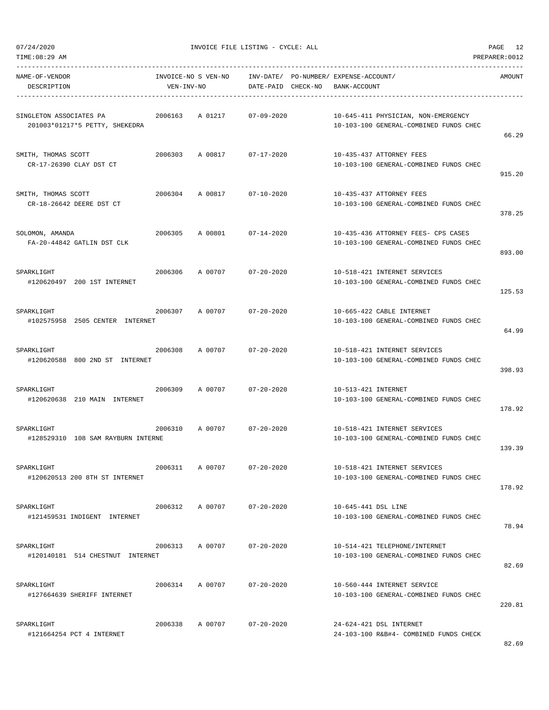|  | 07/24/2020 |  |
|--|------------|--|

| NAME-OF-VENDOR<br>DESCRIPTION                             | INVOICE-NO S VEN-NO<br>VEN-INV-NO |                            | DATE-PAID CHECK-NO | INV-DATE/ PO-NUMBER/ EXPENSE-ACCOUNT/ | BANK-ACCOUNT        |                                                                               | AMOUNT |
|-----------------------------------------------------------|-----------------------------------|----------------------------|--------------------|---------------------------------------|---------------------|-------------------------------------------------------------------------------|--------|
| SINGLETON ASSOCIATES PA<br>201003*01217*5 PETTY, SHEKEDRA | 2006163                           | A 01217                    | $07 - 09 - 2020$   |                                       |                     | 10-645-411 PHYSICIAN, NON-EMERGENCY<br>10-103-100 GENERAL-COMBINED FUNDS CHEC | 66.29  |
| SMITH, THOMAS SCOTT<br>CR-17-26390 CLAY DST CT            |                                   | 2006303 A 00817 07-17-2020 |                    |                                       |                     | 10-435-437 ATTORNEY FEES<br>10-103-100 GENERAL-COMBINED FUNDS CHEC            | 915.20 |
| SMITH, THOMAS SCOTT<br>CR-18-26642 DEERE DST CT           | 2006304                           | A 00817                    | $07 - 10 - 2020$   |                                       |                     | 10-435-437 ATTORNEY FEES<br>10-103-100 GENERAL-COMBINED FUNDS CHEC            | 378.25 |
| SOLOMON, AMANDA<br>FA-20-44842 GATLIN DST CLK             | 2006305                           | A 00801                    | $07 - 14 - 2020$   |                                       |                     | 10-435-436 ATTORNEY FEES- CPS CASES<br>10-103-100 GENERAL-COMBINED FUNDS CHEC | 893.00 |
| SPARKLIGHT<br>#120620497 200 1ST INTERNET                 | 2006306                           | A 00707                    | $07 - 20 - 2020$   |                                       |                     | 10-518-421 INTERNET SERVICES<br>10-103-100 GENERAL-COMBINED FUNDS CHEC        | 125.53 |
| SPARKLIGHT<br>#102575958 2505 CENTER INTERNET             | 2006307                           | A 00707                    | $07 - 20 - 2020$   |                                       |                     | 10-665-422 CABLE INTERNET<br>10-103-100 GENERAL-COMBINED FUNDS CHEC           | 64.99  |
| SPARKLIGHT<br>#120620588 800 2ND ST INTERNET              | 2006308                           | A 00707                    | $07 - 20 - 2020$   |                                       |                     | 10-518-421 INTERNET SERVICES<br>10-103-100 GENERAL-COMBINED FUNDS CHEC        | 398.93 |
| SPARKLIGHT<br>#120620638 210 MAIN INTERNET                | 2006309                           | A 00707                    | $07 - 20 - 2020$   |                                       | 10-513-421 INTERNET | 10-103-100 GENERAL-COMBINED FUNDS CHEC                                        | 178.92 |
| SPARKLIGHT<br>#128529310 108 SAM RAYBURN INTERNE          | 2006310                           | A 00707                    | $07 - 20 - 2020$   |                                       |                     | 10-518-421 INTERNET SERVICES<br>10-103-100 GENERAL-COMBINED FUNDS CHEC        | 139.39 |
| SPARKLIGHT<br>#120620513 200 8TH ST INTERNET              | 2006311                           | A 00707                    | $07 - 20 - 2020$   |                                       |                     | 10-518-421 INTERNET SERVICES<br>10-103-100 GENERAL-COMBINED FUNDS CHEC        | 178.92 |
| SPARKLIGHT<br>#121459531 INDIGENT INTERNET                | 2006312                           | A 00707                    | $07 - 20 - 2020$   |                                       | 10-645-441 DSL LINE | 10-103-100 GENERAL-COMBINED FUNDS CHEC                                        | 78.94  |
| SPARKLIGHT<br>#120140181 514 CHESTNUT INTERNET            | 2006313                           | A 00707                    | $07 - 20 - 2020$   |                                       |                     | 10-514-421 TELEPHONE/INTERNET<br>10-103-100 GENERAL-COMBINED FUNDS CHEC       | 82.69  |
| SPARKLIGHT<br>#127664639 SHERIFF INTERNET                 | 2006314                           | A 00707                    | $07 - 20 - 2020$   |                                       |                     | 10-560-444 INTERNET SERVICE<br>10-103-100 GENERAL-COMBINED FUNDS CHEC         | 220.81 |
| SPARKLIGHT<br>#121664254 PCT 4 INTERNET                   | 2006338                           | A 00707                    | $07 - 20 - 2020$   |                                       |                     | 24-624-421 DSL INTERNET<br>24-103-100 R&B#4- COMBINED FUNDS CHECK             |        |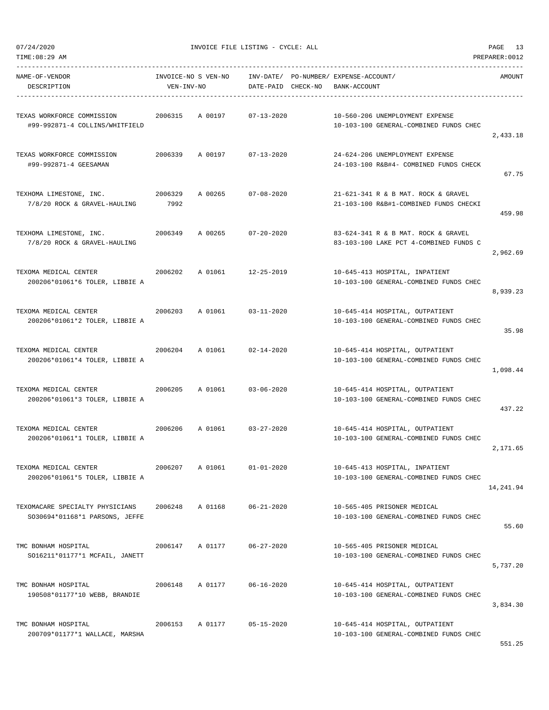07/24/2020 INVOICE FILE LISTING - CYCLE: ALL PAGE 13

| NAME-OF-VENDOR<br>DESCRIPTION                                      | VEN-INV-NO      | INVOICE-NO S VEN-NO | DATE-PAID CHECK-NO         | INV-DATE/ PO-NUMBER/ EXPENSE-ACCOUNT/<br>BANK-ACCOUNT                         | AMOUNT    |
|--------------------------------------------------------------------|-----------------|---------------------|----------------------------|-------------------------------------------------------------------------------|-----------|
| TEXAS WORKFORCE COMMISSION<br>#99-992871-4 COLLINS/WHITFIELD       | 2006315         | A 00197             | $07 - 13 - 2020$           | 10-560-206 UNEMPLOYMENT EXPENSE<br>10-103-100 GENERAL-COMBINED FUNDS CHEC     | 2,433.18  |
| TEXAS WORKFORCE COMMISSION<br>#99-992871-4 GEESAMAN                |                 |                     | 2006339 A 00197 07-13-2020 | 24-624-206 UNEMPLOYMENT EXPENSE<br>24-103-100 R&B#4- COMBINED FUNDS CHECK     | 67.75     |
| TEXHOMA LIMESTONE, INC.<br>7/8/20 ROCK & GRAVEL-HAULING            | 2006329<br>7992 | A 00265             | 07-08-2020                 | 21-621-341 R & B MAT. ROCK & GRAVEL<br>21-103-100 R&B#1-COMBINED FUNDS CHECKI | 459.98    |
| TEXHOMA LIMESTONE, INC.<br>7/8/20 ROCK & GRAVEL-HAULING            | 2006349         |                     | A 00265 07-20-2020         | 83-624-341 R & B MAT. ROCK & GRAVEL<br>83-103-100 LAKE PCT 4-COMBINED FUNDS C | 2,962.69  |
| TEXOMA MEDICAL CENTER<br>200206*01061*6 TOLER, LIBBIE A            | 2006202         | A 01061             | 12-25-2019                 | 10-645-413 HOSPITAL, INPATIENT<br>10-103-100 GENERAL-COMBINED FUNDS CHEC      | 8,939.23  |
| TEXOMA MEDICAL CENTER<br>2006203<br>200206*01061*2 TOLER, LIBBIE A |                 | A 01061             | $03 - 11 - 2020$           | 10-645-414 HOSPITAL, OUTPATIENT<br>10-103-100 GENERAL-COMBINED FUNDS CHEC     | 35.98     |
| TEXOMA MEDICAL CENTER<br>200206*01061*4 TOLER, LIBBIE A            |                 | 2006204 A 01061     | $02 - 14 - 2020$           | 10-645-414 HOSPITAL, OUTPATIENT<br>10-103-100 GENERAL-COMBINED FUNDS CHEC     | 1,098.44  |
| TEXOMA MEDICAL CENTER<br>200206*01061*3 TOLER, LIBBIE A            |                 | 2006205 A 01061     | $03 - 06 - 2020$           | 10-645-414 HOSPITAL, OUTPATIENT<br>10-103-100 GENERAL-COMBINED FUNDS CHEC     | 437.22    |
| 2006206<br>TEXOMA MEDICAL CENTER<br>200206*01061*1 TOLER, LIBBIE A |                 |                     | A 01061 03-27-2020         | 10-645-414 HOSPITAL, OUTPATIENT<br>10-103-100 GENERAL-COMBINED FUNDS CHEC     | 2, 171.65 |
| TEXOMA MEDICAL CENTER<br>200206*01061*5 TOLER, LIBBIE A            | 2006207         | A 01061             | $01 - 01 - 2020$           | 10-645-413 HOSPITAL, INPATIENT<br>10-103-100 GENERAL-COMBINED FUNDS CHEC      | 14,241.94 |
| TEXOMACARE SPECIALTY PHYSICIANS<br>SO30694*01168*1 PARSONS, JEFFE  | 2006248         | A 01168             | $06 - 21 - 2020$           | 10-565-405 PRISONER MEDICAL<br>10-103-100 GENERAL-COMBINED FUNDS CHEC         | 55.60     |
| TMC BONHAM HOSPITAL<br>SO16211*01177*1 MCFAIL, JANETT              | 2006147         | A 01177             | $06 - 27 - 2020$           | 10-565-405 PRISONER MEDICAL<br>10-103-100 GENERAL-COMBINED FUNDS CHEC         | 5,737.20  |
| TMC BONHAM HOSPITAL<br>190508*01177*10 WEBB, BRANDIE               | 2006148         | A 01177             | $06 - 16 - 2020$           | 10-645-414 HOSPITAL, OUTPATIENT<br>10-103-100 GENERAL-COMBINED FUNDS CHEC     | 3,834.30  |
| TMC BONHAM HOSPITAL<br>200709*01177*1 WALLACE, MARSHA              | 2006153         | A 01177             | $05 - 15 - 2020$           | 10-645-414 HOSPITAL, OUTPATIENT<br>10-103-100 GENERAL-COMBINED FUNDS CHEC     |           |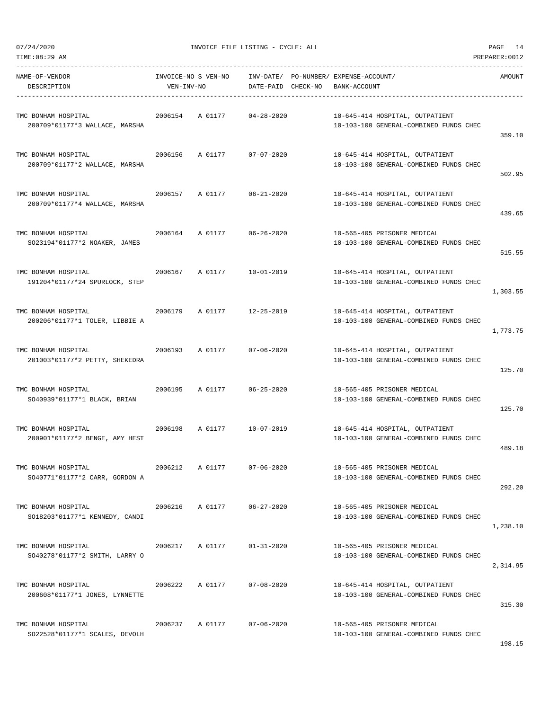| TIME:08:29 AM                                                  |            |                            |                  |                                                                                              | PREPARER:0012 |
|----------------------------------------------------------------|------------|----------------------------|------------------|----------------------------------------------------------------------------------------------|---------------|
| NAME-OF-VENDOR<br>DESCRIPTION                                  | VEN-INV-NO |                            |                  | INVOICE-NO S VEN-NO INV-DATE/ PO-NUMBER/ EXPENSE-ACCOUNT/<br>DATE-PAID CHECK-NO BANK-ACCOUNT | AMOUNT        |
| TMC BONHAM HOSPITAL<br>200709*01177*3 WALLACE, MARSHA          | 2006154    | A 01177 04-28-2020         |                  | 10-645-414 HOSPITAL, OUTPATIENT<br>10-103-100 GENERAL-COMBINED FUNDS CHEC                    | 359.10        |
| TMC BONHAM HOSPITAL<br>200709*01177*2 WALLACE, MARSHA          |            | 2006156 A 01177 07-07-2020 |                  | 10-645-414 HOSPITAL, OUTPATIENT<br>10-103-100 GENERAL-COMBINED FUNDS CHEC                    | 502.95        |
| TMC BONHAM HOSPITAL<br>200709*01177*4 WALLACE, MARSHA          |            | 2006157 A 01177 06-21-2020 |                  | 10-645-414 HOSPITAL, OUTPATIENT<br>10-103-100 GENERAL-COMBINED FUNDS CHEC                    | 439.65        |
| TMC BONHAM HOSPITAL<br>SO23194*01177*2 NOAKER, JAMES           |            | 2006164 A 01177 06-26-2020 |                  | 10-565-405 PRISONER MEDICAL<br>10-103-100 GENERAL-COMBINED FUNDS CHEC                        | 515.55        |
| TMC BONHAM HOSPITAL<br>191204*01177*24 SPURLOCK, STEP          |            | 2006167 A 01177            | $10 - 01 - 2019$ | 10-645-414 HOSPITAL, OUTPATIENT<br>10-103-100 GENERAL-COMBINED FUNDS CHEC                    | 1,303.55      |
| TMC BONHAM HOSPITAL<br>200206*01177*1 TOLER, LIBBIE A          |            | 2006179 A 01177 12-25-2019 |                  | 10-645-414 HOSPITAL, OUTPATIENT<br>10-103-100 GENERAL-COMBINED FUNDS CHEC                    | 1,773.75      |
| TMC BONHAM HOSPITAL<br>201003*01177*2 PETTY, SHEKEDRA          |            | 2006193 A 01177 07-06-2020 |                  | 10-645-414 HOSPITAL, OUTPATIENT<br>10-103-100 GENERAL-COMBINED FUNDS CHEC                    | 125.70        |
| TMC BONHAM HOSPITAL<br>2006195<br>SO40939*01177*1 BLACK, BRIAN |            | A 01177 06-25-2020         |                  | 10-565-405 PRISONER MEDICAL<br>10-103-100 GENERAL-COMBINED FUNDS CHEC                        | 125.70        |
| TMC BONHAM HOSPITAL<br>200901*01177*2 BENGE, AMY HEST          |            | 2006198 A 01177 10-07-2019 |                  | 10-645-414 HOSPITAL, OUTPATIENT<br>10-103-100 GENERAL-COMBINED FUNDS CHEC                    | 489.18        |
| TMC BONHAM HOSPITAL<br>SO40771*01177*2 CARR, GORDON A          | 2006212    | A 01177                    | $07 - 06 - 2020$ | 10-565-405 PRISONER MEDICAL<br>10-103-100 GENERAL-COMBINED FUNDS CHEC                        | 292.20        |
| TMC BONHAM HOSPITAL<br>SO18203*01177*1 KENNEDY, CANDI          | 2006216    | A 01177                    | 06-27-2020       | 10-565-405 PRISONER MEDICAL<br>10-103-100 GENERAL-COMBINED FUNDS CHEC                        | 1,238.10      |
| TMC BONHAM HOSPITAL<br>SO40278*01177*2 SMITH, LARRY O          | 2006217    | A 01177                    | $01 - 31 - 2020$ | 10-565-405 PRISONER MEDICAL<br>10-103-100 GENERAL-COMBINED FUNDS CHEC                        | 2,314.95      |
| TMC BONHAM HOSPITAL<br>200608*01177*1 JONES, LYNNETTE          | 2006222    | A 01177                    | $07 - 08 - 2020$ | 10-645-414 HOSPITAL, OUTPATIENT<br>10-103-100 GENERAL-COMBINED FUNDS CHEC                    | 315.30        |
| TMC BONHAM HOSPITAL<br>SO22528*01177*1 SCALES, DEVOLH          | 2006237    | A 01177                    | $07 - 06 - 2020$ | 10-565-405 PRISONER MEDICAL<br>10-103-100 GENERAL-COMBINED FUNDS CHEC                        |               |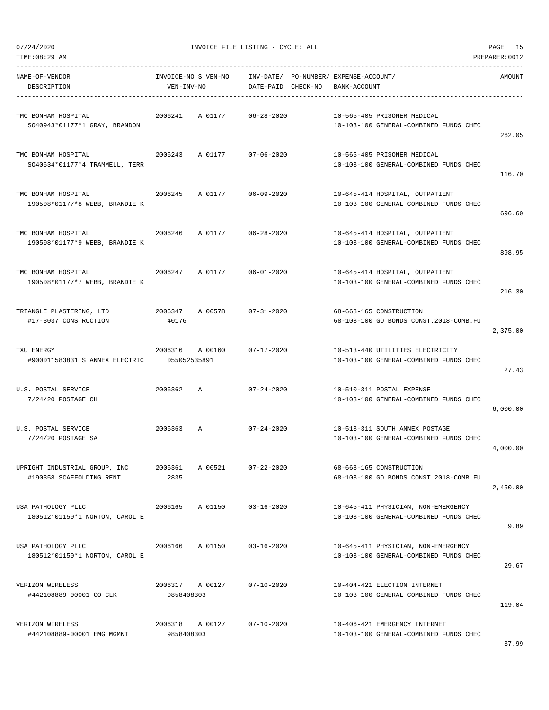| TIME: 08:29 AM                                            |                         |                     |                        |          |                                                                               | PREPARER: 0012 |
|-----------------------------------------------------------|-------------------------|---------------------|------------------------|----------|-------------------------------------------------------------------------------|----------------|
| NAME-OF-VENDOR<br>DESCRIPTION                             | VEN-INV-NO              | INVOICE-NO S VEN-NO | INV-DATE/<br>DATE-PAID | CHECK-NO | PO-NUMBER/ EXPENSE-ACCOUNT/<br>BANK-ACCOUNT                                   | AMOUNT         |
| TMC BONHAM HOSPITAL<br>SO40943*01177*1 GRAY, BRANDON      | 2006241                 | A 01177             | $06 - 28 - 2020$       |          | 10-565-405 PRISONER MEDICAL<br>10-103-100 GENERAL-COMBINED FUNDS CHEC         | 262.05         |
| TMC BONHAM HOSPITAL<br>SO40634*01177*4 TRAMMELL, TERR     | 2006243                 | A 01177             | $07 - 06 - 2020$       |          | 10-565-405 PRISONER MEDICAL<br>10-103-100 GENERAL-COMBINED FUNDS CHEC         | 116.70         |
| TMC BONHAM HOSPITAL<br>190508*01177*8 WEBB, BRANDIE K     | 2006245                 | A 01177             | $06 - 09 - 2020$       |          | 10-645-414 HOSPITAL, OUTPATIENT<br>10-103-100 GENERAL-COMBINED FUNDS CHEC     | 696.60         |
| TMC BONHAM HOSPITAL<br>190508*01177*9 WEBB, BRANDIE K     | 2006246                 | A 01177             | $06 - 28 - 2020$       |          | 10-645-414 HOSPITAL, OUTPATIENT<br>10-103-100 GENERAL-COMBINED FUNDS CHEC     | 898.95         |
| TMC BONHAM HOSPITAL<br>190508*01177*7 WEBB, BRANDIE K     | 2006247                 | A 01177             | $06 - 01 - 2020$       |          | 10-645-414 HOSPITAL, OUTPATIENT<br>10-103-100 GENERAL-COMBINED FUNDS CHEC     | 216.30         |
| TRIANGLE PLASTERING, LTD<br>#17-3037 CONSTRUCTION         | 2006347<br>40176        | A 00578             | $07 - 31 - 2020$       |          | 68-668-165 CONSTRUCTION<br>68-103-100 GO BONDS CONST.2018-COMB.FU             | 2,375.00       |
| TXU ENERGY<br>#900011583831 S ANNEX ELECTRIC              | 2006316<br>055052535891 | A 00160             | $07 - 17 - 2020$       |          | 10-513-440 UTILITIES ELECTRICITY<br>10-103-100 GENERAL-COMBINED FUNDS CHEC    | 27.43          |
| U.S. POSTAL SERVICE<br>7/24/20 POSTAGE CH                 | 2006362                 | A                   | $07 - 24 - 2020$       |          | 10-510-311 POSTAL EXPENSE<br>10-103-100 GENERAL-COMBINED FUNDS CHEC           | 6,000.00       |
| U.S. POSTAL SERVICE<br>7/24/20 POSTAGE SA                 | 2006363                 | A                   | $07 - 24 - 2020$       |          | 10-513-311 SOUTH ANNEX POSTAGE<br>10-103-100 GENERAL-COMBINED FUNDS CHEC      | 4,000.00       |
| UPRIGHT INDUSTRIAL GROUP, INC<br>#190358 SCAFFOLDING RENT | 2006361<br>2835         | A 00521             | $07 - 22 - 2020$       |          | 68-668-165 CONSTRUCTION<br>68-103-100 GO BONDS CONST.2018-COMB.FU             | 2,450.00       |
| USA PATHOLOGY PLLC<br>180512*01150*1 NORTON, CAROL E      | 2006165                 | A 01150             | $03 - 16 - 2020$       |          | 10-645-411 PHYSICIAN, NON-EMERGENCY<br>10-103-100 GENERAL-COMBINED FUNDS CHEC | 9.89           |
| USA PATHOLOGY PLLC<br>180512*01150*1 NORTON, CAROL E      | 2006166                 | A 01150             | $03 - 16 - 2020$       |          | 10-645-411 PHYSICIAN, NON-EMERGENCY<br>10-103-100 GENERAL-COMBINED FUNDS CHEC | 29.67          |
| VERIZON WIRELESS<br>#442108889-00001 CO CLK               | 2006317<br>9858408303   | A 00127             | $07 - 10 - 2020$       |          | 10-404-421 ELECTION INTERNET<br>10-103-100 GENERAL-COMBINED FUNDS CHEC        | 119.04         |
| VERIZON WIRELESS<br>#442108889-00001 EMG MGMNT            | 2006318<br>9858408303   | A 00127             | $07 - 10 - 2020$       |          | 10-406-421 EMERGENCY INTERNET<br>10-103-100 GENERAL-COMBINED FUNDS CHEC       |                |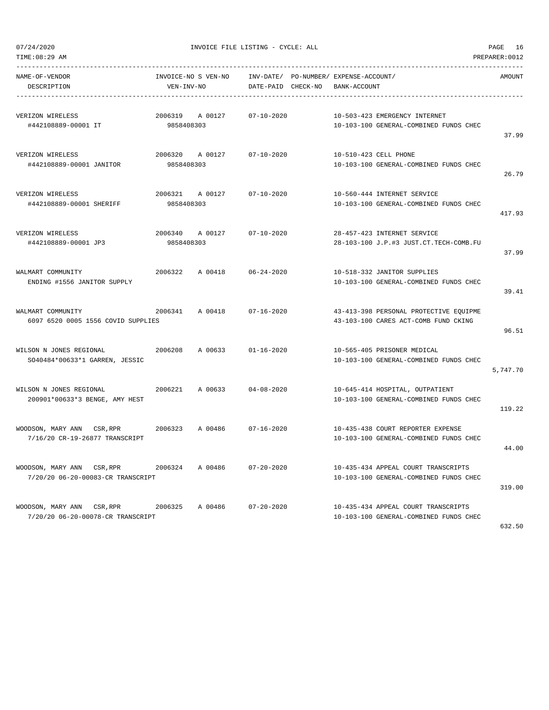TIME:08:29 AM PREPARER:0012

| NAME-OF-VENDOR<br>DESCRIPTION                                   | INVOICE-NO S VEN-NO<br>VEN-INV-NO | INV-DATE/ PO-NUMBER/ EXPENSE-ACCOUNT/<br>DATE-PAID CHECK-NO | BANK-ACCOUNT                                                                   | AMOUNT   |
|-----------------------------------------------------------------|-----------------------------------|-------------------------------------------------------------|--------------------------------------------------------------------------------|----------|
| VERIZON WIRELESS<br>#442108889-00001 IT                         | 2006319 A 00127<br>9858408303     | $07 - 10 - 2020$                                            | 10-503-423 EMERGENCY INTERNET<br>10-103-100 GENERAL-COMBINED FUNDS CHEC        | 37.99    |
| VERIZON WIRELESS<br>#442108889-00001 JANITOR                    | 2006320 A 00127<br>9858408303     | $07 - 10 - 2020$                                            | 10-510-423 CELL PHONE<br>10-103-100 GENERAL-COMBINED FUNDS CHEC                | 26.79    |
| VERIZON WIRELESS<br>#442108889-00001 SHERIFF                    | 2006321 A 00127<br>9858408303     | $07 - 10 - 2020$                                            | 10-560-444 INTERNET SERVICE<br>10-103-100 GENERAL-COMBINED FUNDS CHEC          | 417.93   |
| VERIZON WIRELESS<br>#442108889-00001 JP3                        | 2006340 A 00127<br>9858408303     | $07 - 10 - 2020$                                            | 28-457-423 INTERNET SERVICE<br>28-103-100 J.P.#3 JUST.CT.TECH-COMB.FU          | 37.99    |
| WALMART COMMUNITY<br>ENDING #1556 JANITOR SUPPLY                | 2006322<br>A 00418 06-24-2020     |                                                             | 10-518-332 JANITOR SUPPLIES<br>10-103-100 GENERAL-COMBINED FUNDS CHEC          | 39.41    |
| WALMART COMMUNITY<br>6097 6520 0005 1556 COVID SUPPLIES         | 2006341 A 00418 07-16-2020        |                                                             | 43-413-398 PERSONAL PROTECTIVE EQUIPME<br>43-103-100 CARES ACT-COMB FUND CKING | 96.51    |
| WILSON N JONES REGIONAL<br>SO40484*00633*1 GARREN, JESSIC       | 2006208<br>A 00633                | $01 - 16 - 2020$                                            | 10-565-405 PRISONER MEDICAL<br>10-103-100 GENERAL-COMBINED FUNDS CHEC          | 5,747.70 |
| WILSON N JONES REGIONAL<br>200901*00633*3 BENGE, AMY HEST       | 2006221<br>A 00633                | $04 - 08 - 2020$                                            | 10-645-414 HOSPITAL, OUTPATIENT<br>10-103-100 GENERAL-COMBINED FUNDS CHEC      | 119.22   |
| WOODSON, MARY ANN CSR,RPR<br>7/16/20 CR-19-26877 TRANSCRIPT     | 2006323 A 00486                   | 07-16-2020                                                  | 10-435-438 COURT REPORTER EXPENSE<br>10-103-100 GENERAL-COMBINED FUNDS CHEC    | 44.00    |
| 7/20/20 06-20-00083-CR TRANSCRIPT                               |                                   |                                                             | 10-435-434 APPEAL COURT TRANSCRIPTS<br>10-103-100 GENERAL-COMBINED FUNDS CHEC  | 319.00   |
| WOODSON, MARY ANN CSR, RPR<br>7/20/20 06-20-00078-CR TRANSCRIPT | 2006325<br>A 00486                | $07 - 20 - 2020$                                            | 10-435-434 APPEAL COURT TRANSCRIPTS<br>10-103-100 GENERAL-COMBINED FUNDS CHEC  |          |